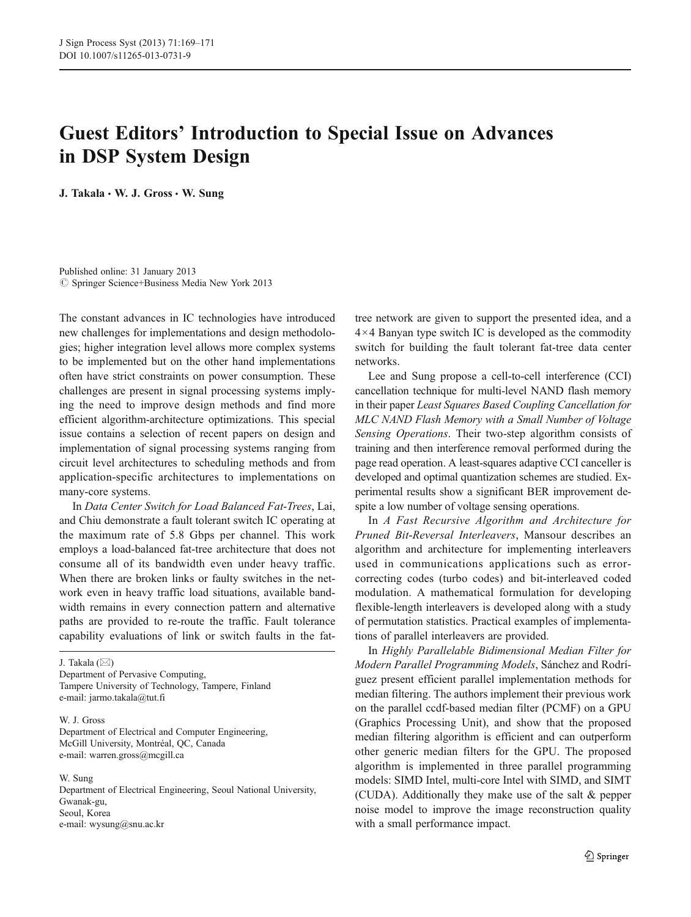## Guest Editors' Introduction to Special Issue on Advances in DSP System Design

J. Takala · W. J. Gross · W. Sung

Published online: 31 January 2013 © Springer Science+Business Media New York 2013

The constant advances in IC technologies have introduced new challenges for implementations and design methodologies; higher integration level allows more complex systems to be implemented but on the other hand implementations often have strict constraints on power consumption. These challenges are present in signal processing systems implying the need to improve design methods and find more efficient algorithm-architecture optimizations. This special issue contains a selection of recent papers on design and implementation of signal processing systems ranging from circuit level architectures to scheduling methods and from application-specific architectures to implementations on many-core systems.

In Data Center Switch for Load Balanced Fat-Trees, Lai, and Chiu demonstrate a fault tolerant switch IC operating at the maximum rate of 5.8 Gbps per channel. This work employs a load-balanced fat-tree architecture that does not consume all of its bandwidth even under heavy traffic. When there are broken links or faulty switches in the network even in heavy traffic load situations, available bandwidth remains in every connection pattern and alternative paths are provided to re-route the traffic. Fault tolerance capability evaluations of link or switch faults in the fat-

J. Takala  $(\boxtimes)$ Department of Pervasive Computing, Tampere University of Technology, Tampere, Finland e-mail: jarmo.takala@tut.fi

W. J. Gross

Department of Electrical and Computer Engineering, McGill University, Montréal, QC, Canada e-mail: warren.gross@mcgill.ca

W. Sung

Department of Electrical Engineering, Seoul National University, Gwanak-gu, Seoul, Korea e-mail: wysung@snu.ac.kr

tree network are given to support the presented idea, and a  $4\times4$  Banyan type switch IC is developed as the commodity switch for building the fault tolerant fat-tree data center networks.

Lee and Sung propose a cell-to-cell interference (CCI) cancellation technique for multi-level NAND flash memory in their paper Least Squares Based Coupling Cancellation for MLC NAND Flash Memory with a Small Number of Voltage Sensing Operations. Their two-step algorithm consists of training and then interference removal performed during the page read operation. A least-squares adaptive CCI canceller is developed and optimal quantization schemes are studied. Experimental results show a significant BER improvement despite a low number of voltage sensing operations.

In A Fast Recursive Algorithm and Architecture for Pruned Bit-Reversal Interleavers, Mansour describes an algorithm and architecture for implementing interleavers used in communications applications such as errorcorrecting codes (turbo codes) and bit-interleaved coded modulation. A mathematical formulation for developing flexible-length interleavers is developed along with a study of permutation statistics. Practical examples of implementations of parallel interleavers are provided.

In Highly Parallelable Bidimensional Median Filter for Modern Parallel Programming Models, Sánchez and Rodríguez present efficient parallel implementation methods for median filtering. The authors implement their previous work on the parallel ccdf-based median filter (PCMF) on a GPU (Graphics Processing Unit), and show that the proposed median filtering algorithm is efficient and can outperform other generic median filters for the GPU. The proposed algorithm is implemented in three parallel programming models: SIMD Intel, multi-core Intel with SIMD, and SIMT (CUDA). Additionally they make use of the salt & pepper noise model to improve the image reconstruction quality with a small performance impact.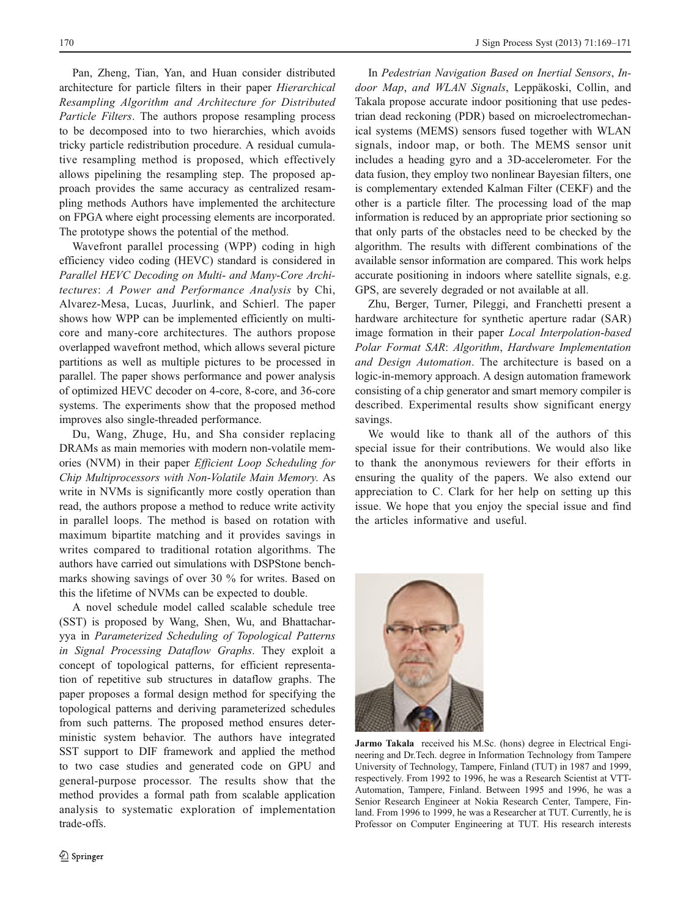Pan, Zheng, Tian, Yan, and Huan consider distributed architecture for particle filters in their paper Hierarchical Resampling Algorithm and Architecture for Distributed Particle Filters. The authors propose resampling process to be decomposed into to two hierarchies, which avoids tricky particle redistribution procedure. A residual cumulative resampling method is proposed, which effectively allows pipelining the resampling step. The proposed approach provides the same accuracy as centralized resampling methods Authors have implemented the architecture on FPGA where eight processing elements are incorporated. The prototype shows the potential of the method.

Wavefront parallel processing (WPP) coding in high efficiency video coding (HEVC) standard is considered in Parallel HEVC Decoding on Multi- and Many-Core Architectures: A Power and Performance Analysis by Chi, Alvarez-Mesa, Lucas, Juurlink, and Schierl. The paper shows how WPP can be implemented efficiently on multicore and many-core architectures. The authors propose overlapped wavefront method, which allows several picture partitions as well as multiple pictures to be processed in parallel. The paper shows performance and power analysis of optimized HEVC decoder on 4-core, 8-core, and 36-core systems. The experiments show that the proposed method improves also single-threaded performance.

Du, Wang, Zhuge, Hu, and Sha consider replacing DRAMs as main memories with modern non-volatile memories (NVM) in their paper Efficient Loop Scheduling for Chip Multiprocessors with Non-Volatile Main Memory. As write in NVMs is significantly more costly operation than read, the authors propose a method to reduce write activity in parallel loops. The method is based on rotation with maximum bipartite matching and it provides savings in writes compared to traditional rotation algorithms. The authors have carried out simulations with DSPStone benchmarks showing savings of over 30 % for writes. Based on this the lifetime of NVMs can be expected to double.

A novel schedule model called scalable schedule tree (SST) is proposed by Wang, Shen, Wu, and Bhattacharyya in Parameterized Scheduling of Topological Patterns in Signal Processing Dataflow Graphs. They exploit a concept of topological patterns, for efficient representation of repetitive sub structures in dataflow graphs. The paper proposes a formal design method for specifying the topological patterns and deriving parameterized schedules from such patterns. The proposed method ensures deterministic system behavior. The authors have integrated SST support to DIF framework and applied the method to two case studies and generated code on GPU and general-purpose processor. The results show that the method provides a formal path from scalable application analysis to systematic exploration of implementation trade-offs.

In Pedestrian Navigation Based on Inertial Sensors, Indoor Map, and WLAN Signals, Leppäkoski, Collin, and Takala propose accurate indoor positioning that use pedestrian dead reckoning (PDR) based on microelectromechanical systems (MEMS) sensors fused together with WLAN signals, indoor map, or both. The MEMS sensor unit includes a heading gyro and a 3D-accelerometer. For the data fusion, they employ two nonlinear Bayesian filters, one is complementary extended Kalman Filter (CEKF) and the other is a particle filter. The processing load of the map information is reduced by an appropriate prior sectioning so that only parts of the obstacles need to be checked by the algorithm. The results with different combinations of the available sensor information are compared. This work helps accurate positioning in indoors where satellite signals, e.g. GPS, are severely degraded or not available at all.

Zhu, Berger, Turner, Pileggi, and Franchetti present a hardware architecture for synthetic aperture radar (SAR) image formation in their paper Local Interpolation-based Polar Format SAR: Algorithm, Hardware Implementation and Design Automation. The architecture is based on a logic-in-memory approach. A design automation framework consisting of a chip generator and smart memory compiler is described. Experimental results show significant energy savings.

We would like to thank all of the authors of this special issue for their contributions. We would also like to thank the anonymous reviewers for their efforts in ensuring the quality of the papers. We also extend our appreciation to C. Clark for her help on setting up this issue. We hope that you enjoy the special issue and find the articles informative and useful.



Jarmo Takala received his M.Sc. (hons) degree in Electrical Engineering and Dr.Tech. degree in Information Technology from Tampere University of Technology, Tampere, Finland (TUT) in 1987 and 1999, respectively. From 1992 to 1996, he was a Research Scientist at VTT-Automation, Tampere, Finland. Between 1995 and 1996, he was a Senior Research Engineer at Nokia Research Center, Tampere, Finland. From 1996 to 1999, he was a Researcher at TUT. Currently, he is Professor on Computer Engineering at TUT. His research interests